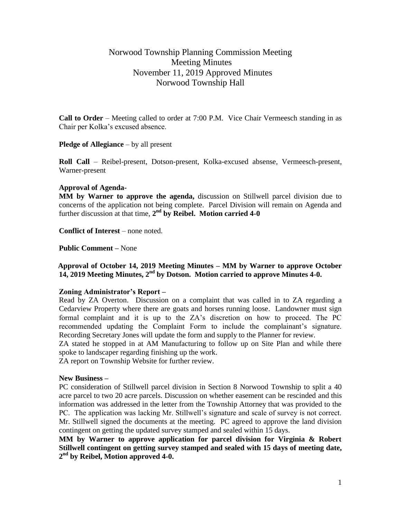# Norwood Township Planning Commission Meeting Meeting Minutes November 11, 2019 Approved Minutes Norwood Township Hall

**Call to Order** – Meeting called to order at 7:00 P.M. Vice Chair Vermeesch standing in as Chair per Kolka's excused absence.

**Pledge of Allegiance** – by all present

**Roll Call** – Reibel-present, Dotson-present, Kolka-excused absense, Vermeesch-present, Warner-present

### **Approval of Agenda-**

**MM by Warner to approve the agenda,** discussion on Stillwell parcel division due to concerns of the application not being complete. Parcel Division will remain on Agenda and further discussion at that time, 2<sup>nd</sup> by Reibel. Motion carried 4-0

**Conflict of Interest** – none noted.

**Public Comment –** None

### **Approval of October 14, 2019 Meeting Minutes – MM by Warner to approve October 14, 2019 Meeting Minutes, 2nd by Dotson. Motion carried to approve Minutes 4-0.**

#### **Zoning Administrator's Report –**

Read by ZA Overton. Discussion on a complaint that was called in to ZA regarding a Cedarview Property where there are goats and horses running loose. Landowner must sign formal complaint and it is up to the ZA's discretion on how to proceed. The PC recommended updating the Complaint Form to include the complainant's signature. Recording Secretary Jones will update the form and supply to the Planner for review.

ZA stated he stopped in at AM Manufacturing to follow up on Site Plan and while there spoke to landscaper regarding finishing up the work.

ZA report on Township Website for further review.

#### **New Business –**

PC consideration of Stillwell parcel division in Section 8 Norwood Township to split a 40 acre parcel to two 20 acre parcels. Discussion on whether easement can be rescinded and this information was addressed in the letter from the Township Attorney that was provided to the PC. The application was lacking Mr. Stillwell's signature and scale of survey is not correct. Mr. Stillwell signed the documents at the meeting. PC agreed to approve the land division contingent on getting the updated survey stamped and sealed within 15 days.

**MM by Warner to approve application for parcel division for Virginia & Robert Stillwell contingent on getting survey stamped and sealed with 15 days of meeting date, 2 nd by Reibel, Motion approved 4-0.**